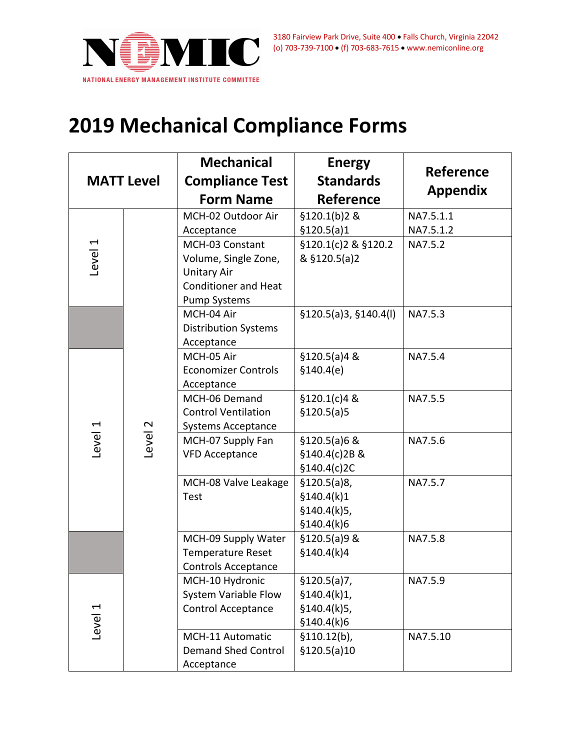

## **2019 Mechanical Compliance Forms**

| <b>MATT Level</b> |         | <b>Mechanical</b><br><b>Compliance Test</b><br><b>Form Name</b>                                                     | <b>Energy</b><br><b>Standards</b><br><b>Reference</b>      | <b>Reference</b><br><b>Appendix</b> |
|-------------------|---------|---------------------------------------------------------------------------------------------------------------------|------------------------------------------------------------|-------------------------------------|
|                   |         | MCH-02 Outdoor Air                                                                                                  | §120.1(b)2 &                                               | NA7.5.1.1                           |
| Level 1           | Level 2 | Acceptance                                                                                                          | \$120.5(a)1                                                | NA7.5.1.2                           |
|                   |         | MCH-03 Constant<br>Volume, Single Zone,<br><b>Unitary Air</b><br><b>Conditioner and Heat</b><br><b>Pump Systems</b> | §120.1(c)2 & §120.2<br>& §120.5(a)2                        | NA7.5.2                             |
|                   |         | MCH-04 Air<br><b>Distribution Systems</b><br>Acceptance                                                             | \$120.5(a)3, \$140.4(l)                                    | NA7.5.3                             |
| Level 1           |         | MCH-05 Air<br><b>Economizer Controls</b><br>Acceptance                                                              | \$120.5(a)48<br>\$140.4(e)                                 | NA7.5.4                             |
|                   |         | MCH-06 Demand<br><b>Control Ventilation</b><br><b>Systems Acceptance</b>                                            | §120.1(c)4 &<br>\$120.5(a)5                                | NA7.5.5                             |
|                   |         | MCH-07 Supply Fan<br><b>VFD Acceptance</b>                                                                          | $$120.5(a)6$ &<br>§140.4(c)2B &<br>\$140.4(c)2C            | NA7.5.6                             |
|                   |         | MCH-08 Valve Leakage<br><b>Test</b>                                                                                 | \$120.5(a)8,<br>\$140.4(k)1<br>\$140.4(k)5,<br>§140.4(k)6  | NA7.5.7                             |
|                   |         | MCH-09 Supply Water<br><b>Temperature Reset</b><br><b>Controls Acceptance</b>                                       | $$120.5(a)9$ &<br>\$140.4(k)4                              | NA7.5.8                             |
| Level 1           |         | MCH-10 Hydronic<br><b>System Variable Flow</b><br><b>Control Acceptance</b>                                         | \$120.5(a)7,<br>§140.4(k)1,<br>\$140.4(k)5,<br>\$140.4(k)6 | NA7.5.9                             |
|                   |         | MCH-11 Automatic<br><b>Demand Shed Control</b><br>Acceptance                                                        | \$110.12(b),<br>\$120.5(a)10                               | NA7.5.10                            |